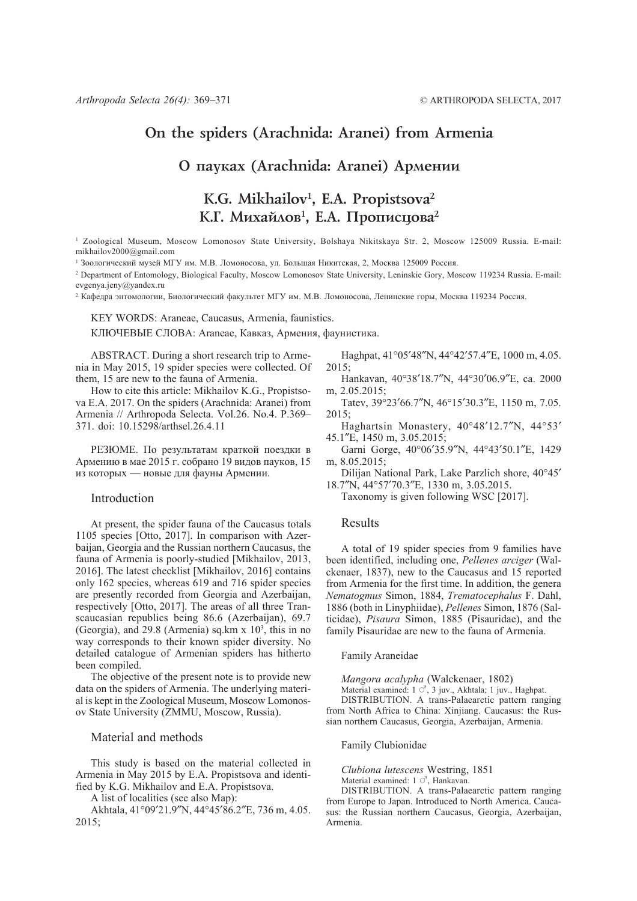# **On the spiders (Arachnida: Aranei) from Armenia**

# **О** пауках (Arachnida: Aranei) Армении

# **K.G. Mikhailov1 , E.A. Propistsova2** К.Г. Михайлов<sup>1</sup>, Е.А. Прописцова<sup>2</sup>

1 Zoological Museum, Moscow Lomonosov State University, Bolshaya Nikitskaya Str. 2, Moscow 125009 Russia. E-mail: mikhailov2000@gmail.com

<sup>1</sup> Зоологический музей МГУ им. М.В. Ломоносова, ул. Большая Никитская, 2, Москва 125009 Россия.

2 Department of Entomology, Biological Faculty, Moscow Lomonosov State University, Leninskie Gory, Moscow 119234 Russia. E-mail: evgenya.jeny@yandex.ru

<sup>2</sup> Кафедра энтомологии, Биологический факультет МГУ им. М.В. Ломоносова, Ленинские горы, Москва 119234 Россия.

KEY WORDS: Araneae, Caucasus, Armenia, faunistics.

КЛЮЧЕВЫЕ СЛОВА: Araneae, Кавказ, Армения, фаунистика.

ABSTRACT. During a short research trip to Armenia in May 2015, 19 spider species were collected. Of them, 15 are new to the fauna of Armenia.

How to cite this article: Mikhailov K.G., Propistsova E.A. 2017. On the spiders (Arachnida: Aranei) from Armenia // Arthropoda Selecta. Vol.26. No.4. P.369– 371. doi: 10.15298/arthsel.26.4.11

РЕЗЮМЕ. По результатам краткой поездки в Армению в мае 2015 г. собрано 19 видов пауков, 15 из которых — новые для фауны Армении.

# Introduction

At present, the spider fauna of the Caucasus totals 1105 species [Otto, 2017]. In comparison with Azerbaijan, Georgia and the Russian northern Caucasus, the fauna of Armenia is poorly-studied [Mikhailov, 2013, 2016]. The latest checklist [Mikhailov, 2016] contains only 162 species, whereas 619 and 716 spider species are presently recorded from Georgia and Azerbaijan, respectively [Otto, 2017]. The areas of all three Transcaucasian republics being 86.6 (Azerbaijan), 69.7 (Georgia), and 29.8 (Armenia) sq.km  $x$  10<sup>3</sup>, this in no way corresponds to their known spider diversity. No detailed catalogue of Armenian spiders has hitherto been compiled.

The objective of the present note is to provide new data on the spiders of Armenia. The underlying material is kept in the Zoological Museum, Moscow Lomonosov State University (ZMMU, Moscow, Russia).

### Material and methods

This study is based on the material collected in Armenia in May 2015 by E.A. Propistsova and identified by K.G. Mikhailov and E.A. Propistsova.

A list of localities (see also Map):

Akhtala, 41°09′21.9″N, 44°45′86.2″E, 736 m, 4.05. 2015;

Haghpat, 41°05′48″N, 44°42′57.4″E, 1000 m, 4.05. 2015;

- Hankavan, 40°38′18.7″N, 44°30′06.9″E, ca. 2000 m, 2.05.2015;
- Tatev, 39°23′66.7″N, 46°15′30.3″E, 1150 m, 7.05. 2015;
- Haghartsin Monastery, 40°48′12.7″N, 44°53′ 45.1″E, 1450 m, 3.05.2015;
- Garni Gorge, 40°06′35.9″N, 44°43′50.1″E, 1429 m, 8.05.2015;
- Dilijan National Park, Lake Parzlich shore, 40°45′ 18.7″N, 44°57′70.3″E, 1330 m, 3.05.2015.
	- Taxonomy is given following WSC [2017].

# Results

A total of 19 spider species from 9 families have been identified, including one, *Pellenes arciger* (Walckenaer, 1837), new to the Caucasus and 15 reported from Armenia for the first time. In addition, the genera *Nematogmus* Simon, 1884, *Trematocephalus* F. Dahl, 1886 (both in Linyphiidae), *Pellenes* Simon, 1876 (Salticidae), *Pisaura* Simon, 1885 (Pisauridae), and the family Pisauridae are new to the fauna of Armenia.

Family Araneidae

*Mangora acalypha* (Walckenaer, 1802)

Material examined:  $1 \circ 7$ , 3 juv., Akhtala; 1 juv., Haghpat. DISTRIBUTION. A trans-Palaearctic pattern ranging from North Africa to China: Xinjiang. Caucasus: the Russian northern Caucasus, Georgia, Azerbaijan, Armenia.

Family Clubionidae

*Clubiona lutescens* Westring, 1851 Material examined:  $1 \circ$ , Hankavan.

DISTRIBUTION. A trans-Palaearctic pattern ranging from Europe to Japan. Introduced to North America. Caucasus: the Russian northern Caucasus, Georgia, Azerbaijan, Armenia.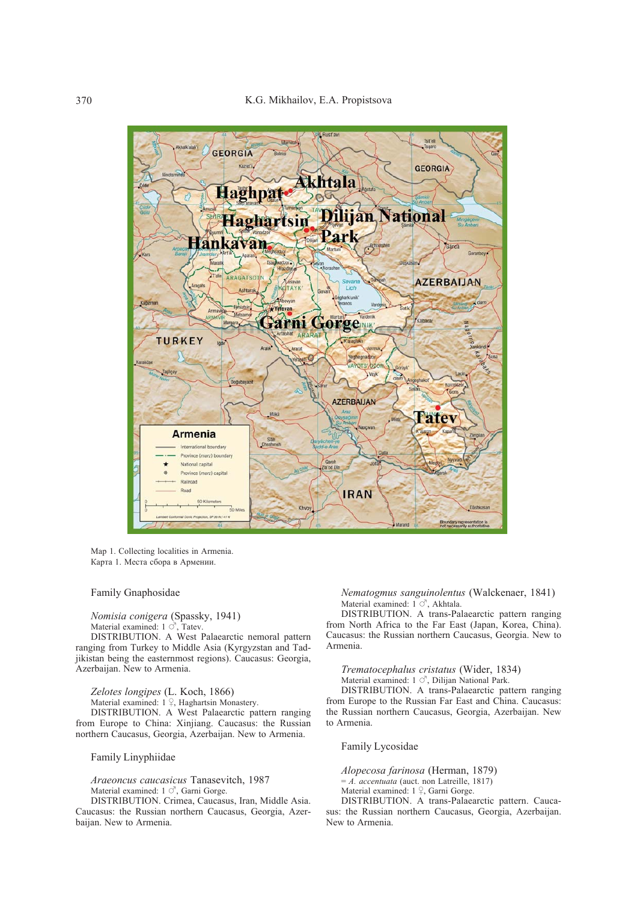

Map 1. Collecting localities in Armenia. Карта 1. Места сбора в Армении.

## Family Gnaphosidae

*Nomisia conigera* (Spassky, 1941) Material examined:  $1 \circ$ , Tatev.

DISTRIBUTION. A West Palaearctic nemoral pattern ranging from Turkey to Middle Asia (Kyrgyzstan and Tadjikistan being the easternmost regions). Caucasus: Georgia, Azerbaijan. New to Armenia.

*Zelotes longipes* (L. Koch, 1866)

Material examined:  $1 \nsubseteq$ , Haghartsin Monastery.

DISTRIBUTION. A West Palaearctic pattern ranging from Europe to China: Xinjiang. Caucasus: the Russian northern Caucasus, Georgia, Azerbaijan. New to Armenia.

Family Linyphiidae

*Araeoncus caucasicus* Tanasevitch, 1987 Material examined:  $1 \circ$ , Garni Gorge.

DISTRIBUTION. Crimea, Caucasus, Iran, Middle Asia. Caucasus: the Russian northern Caucasus, Georgia, Azerbaijan. New to Armenia.

*Nematogmus sanguinolentus* (Walckenaer, 1841) Material examined:  $1^\circ$ , Akhtala.

DISTRIBUTION. A trans-Palaearctic pattern ranging from North Africa to the Far East (Japan, Korea, China). Caucasus: the Russian northern Caucasus, Georgia. New to Armenia.

*Trematocephalus cristatus* (Wider, 1834) Material examined:  $1 \circ$ , Dilijan National Park. DISTRIBUTION. A trans-Palaearctic pattern ranging from Europe to the Russian Far East and China. Caucasus: the Russian northern Caucasus, Georgia, Azerbaijan. New to Armenia.

Family Lycosidae

*Alopecosa farinosa* (Herman, 1879) = *A. accentuata* (auct. non Latreille, 1817) Material examined:  $1 \nvert 2$ , Garni Gorge.

DISTRIBUTION. A trans-Palaearctic pattern. Caucasus: the Russian northern Caucasus, Georgia, Azerbaijan. New to Armenia.